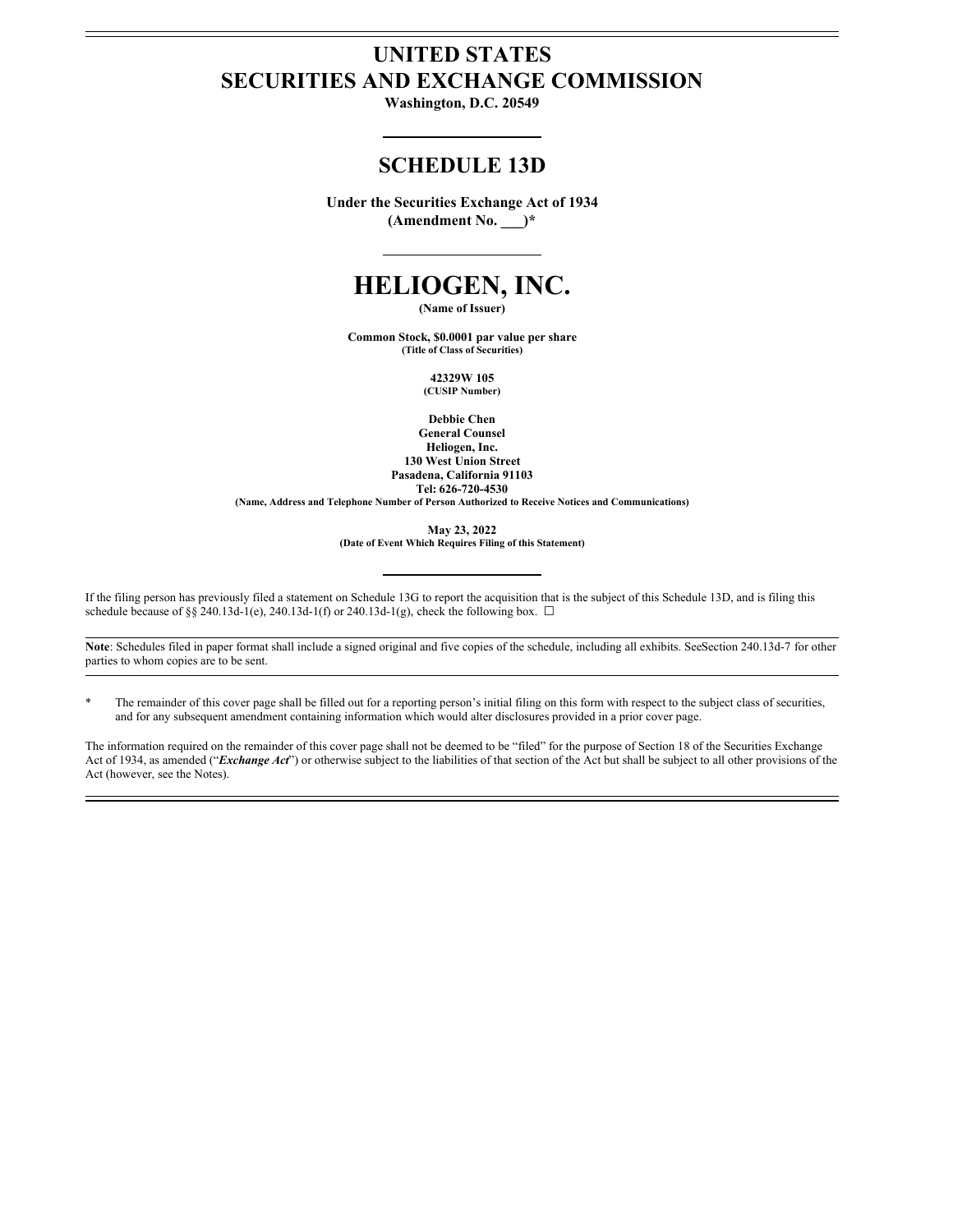# **UNITED STATES SECURITIES AND EXCHANGE COMMISSION**

**Washington, D.C. 20549**

# **SCHEDULE 13D**

**Under the Securities Exchange Act of 1934 (Amendment No. \_\_\_)\***

# **HELIOGEN, INC.**

**(Name of Issuer)**

**Common Stock, \$0.0001 par value per share (Title of Class of Securities)**

> **42329W 105 (CUSIP Number)**

**Debbie Chen General Counsel**

**Heliogen, Inc. 130 West Union Street Pasadena, California 91103 Tel: 626-720-4530**

**(Name, Address and Telephone Number of Person Authorized to Receive Notices and Communications)**

**May 23, 2022**

**(Date of Event Which Requires Filing of this Statement)**

If the filing person has previously filed a statement on Schedule 13G to report the acquisition that is the subject of this Schedule 13D, and is filing this schedule because of §§ 240.13d-1(e), 240.13d-1(f) or 240.13d-1(g), check the following box.  $\Box$ 

Note: Schedules filed in paper format shall include a signed original and five copies of the schedule, including all exhibits. SeeSection 240.13d-7 for other parties to whom copies are to be sent.

\* The remainder of this cover page shall be filled out for a reporting person's initial filing on this form with respect to the subject class of securities, and for any subsequent amendment containing information which would alter disclosures provided in a prior cover page.

The information required on the remainder of this cover page shall not be deemed to be "filed" for the purpose of Section 18 of the Securities Exchange Act of 1934, as amended ("*Exchange Act*") or otherwise subject to the liabilities of that section of the Act but shall be subject to all other provisions of the Act (however, see the Notes).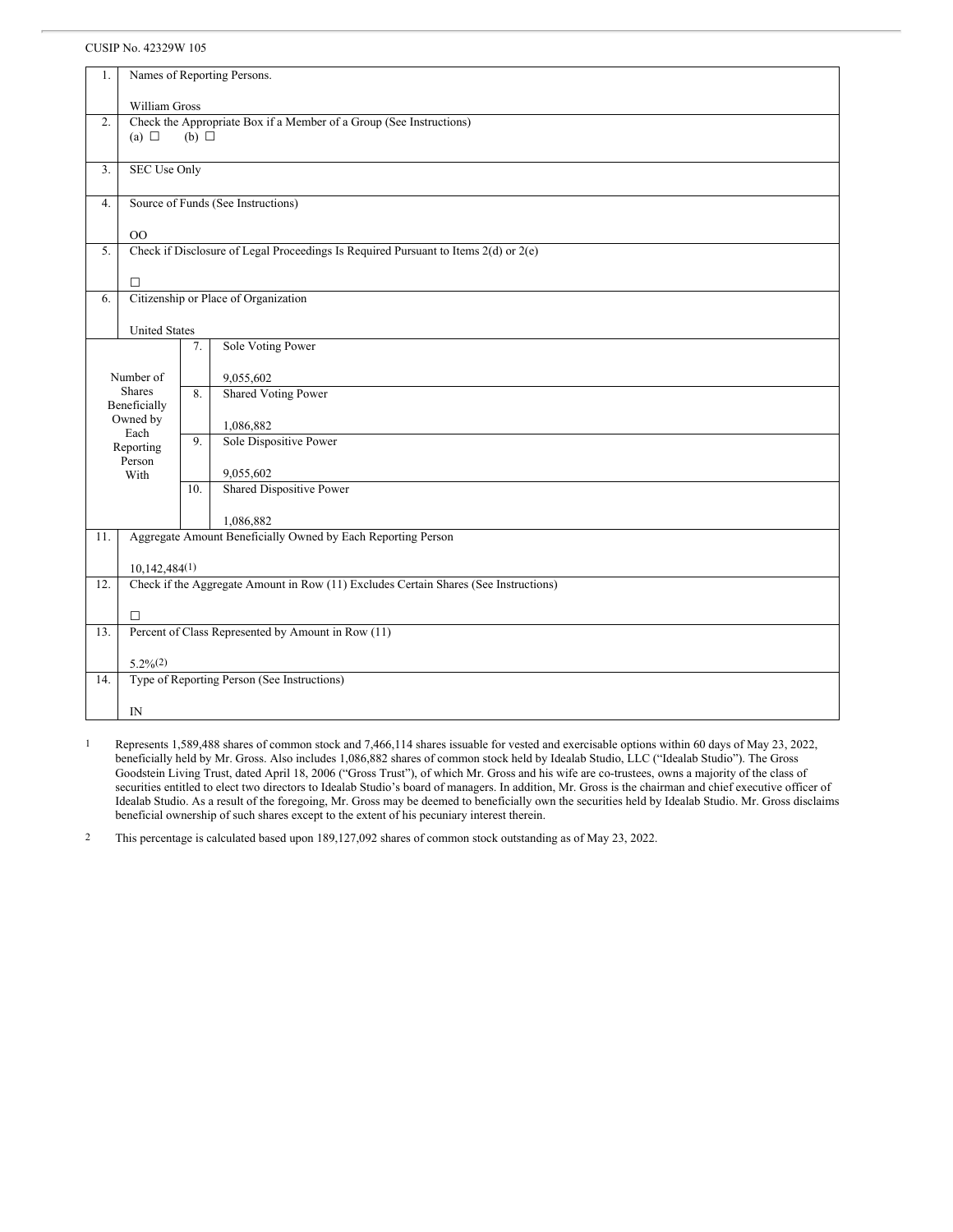## CUSIP No. 42329W 105

| 1.                                                                                        | Names of Reporting Persons.                                                          |     |                                                              |  |  |  |  |  |
|-------------------------------------------------------------------------------------------|--------------------------------------------------------------------------------------|-----|--------------------------------------------------------------|--|--|--|--|--|
|                                                                                           |                                                                                      |     |                                                              |  |  |  |  |  |
|                                                                                           | William Gross                                                                        |     |                                                              |  |  |  |  |  |
| 2.                                                                                        | Check the Appropriate Box if a Member of a Group (See Instructions)                  |     |                                                              |  |  |  |  |  |
|                                                                                           | (a) $\Box$<br>(b) $\Box$                                                             |     |                                                              |  |  |  |  |  |
|                                                                                           |                                                                                      |     |                                                              |  |  |  |  |  |
| 3.                                                                                        | <b>SEC Use Only</b>                                                                  |     |                                                              |  |  |  |  |  |
|                                                                                           |                                                                                      |     |                                                              |  |  |  |  |  |
| 4.                                                                                        | Source of Funds (See Instructions)                                                   |     |                                                              |  |  |  |  |  |
|                                                                                           |                                                                                      |     |                                                              |  |  |  |  |  |
|                                                                                           | O <sub>O</sub>                                                                       |     |                                                              |  |  |  |  |  |
| Check if Disclosure of Legal Proceedings Is Required Pursuant to Items 2(d) or 2(e)<br>5. |                                                                                      |     |                                                              |  |  |  |  |  |
|                                                                                           |                                                                                      |     |                                                              |  |  |  |  |  |
|                                                                                           | $\Box$                                                                               |     |                                                              |  |  |  |  |  |
| 6.                                                                                        |                                                                                      |     | Citizenship or Place of Organization                         |  |  |  |  |  |
|                                                                                           |                                                                                      |     |                                                              |  |  |  |  |  |
|                                                                                           | <b>United States</b>                                                                 |     |                                                              |  |  |  |  |  |
| Sole Voting Power<br>7.                                                                   |                                                                                      |     |                                                              |  |  |  |  |  |
|                                                                                           |                                                                                      |     |                                                              |  |  |  |  |  |
| Number of                                                                                 |                                                                                      |     | 9,055,602                                                    |  |  |  |  |  |
| <b>Shares</b>                                                                             |                                                                                      | 8.  | <b>Shared Voting Power</b>                                   |  |  |  |  |  |
| Beneficially                                                                              |                                                                                      |     |                                                              |  |  |  |  |  |
| Owned by                                                                                  |                                                                                      |     | 1,086,882                                                    |  |  |  |  |  |
| Each                                                                                      |                                                                                      | 9.  | Sole Dispositive Power                                       |  |  |  |  |  |
| Reporting                                                                                 |                                                                                      |     |                                                              |  |  |  |  |  |
| Person<br>With                                                                            |                                                                                      |     | 9,055,602                                                    |  |  |  |  |  |
|                                                                                           |                                                                                      | 10. | Shared Dispositive Power                                     |  |  |  |  |  |
|                                                                                           |                                                                                      |     |                                                              |  |  |  |  |  |
|                                                                                           |                                                                                      |     | 1,086,882                                                    |  |  |  |  |  |
| 11.                                                                                       |                                                                                      |     | Aggregate Amount Beneficially Owned by Each Reporting Person |  |  |  |  |  |
|                                                                                           |                                                                                      |     |                                                              |  |  |  |  |  |
|                                                                                           | 10,142,484(1)                                                                        |     |                                                              |  |  |  |  |  |
| 12.                                                                                       | Check if the Aggregate Amount in Row (11) Excludes Certain Shares (See Instructions) |     |                                                              |  |  |  |  |  |
|                                                                                           |                                                                                      |     |                                                              |  |  |  |  |  |
|                                                                                           | $\Box$                                                                               |     |                                                              |  |  |  |  |  |
| 13.                                                                                       | Percent of Class Represented by Amount in Row (11)                                   |     |                                                              |  |  |  |  |  |
|                                                                                           |                                                                                      |     |                                                              |  |  |  |  |  |
|                                                                                           |                                                                                      |     |                                                              |  |  |  |  |  |
|                                                                                           |                                                                                      |     |                                                              |  |  |  |  |  |
|                                                                                           |                                                                                      |     |                                                              |  |  |  |  |  |
|                                                                                           |                                                                                      |     |                                                              |  |  |  |  |  |
| 14.                                                                                       | $5.2\%(2)$<br>Type of Reporting Person (See Instructions)                            |     |                                                              |  |  |  |  |  |
|                                                                                           | $_{\rm IN}$                                                                          |     |                                                              |  |  |  |  |  |

1 Represents 1,589,488 shares of common stock and 7,466,114 shares issuable for vested and exercisable options within 60 days of May 23, 2022, beneficially held by Mr. Gross. Also includes 1,086,882 shares of common stock held by Idealab Studio, LLC ("Idealab Studio"). The Gross Goodstein Living Trust, dated April 18, 2006 ("Gross Trust"), of which Mr. Gross and his wife are co-trustees, owns a majority of the class of securities entitled to elect two directors to Idealab Studio's board of managers. In addition, Mr. Gross is the chairman and chief executive officer of Idealab Studio. As a result of the foregoing, Mr. Gross may be deemed to beneficially own the securities held by Idealab Studio. Mr. Gross disclaims beneficial ownership of such shares except to the extent of his pecuniary interest therein.

2 This percentage is calculated based upon 189,127,092 shares of common stock outstanding as of May 23, 2022.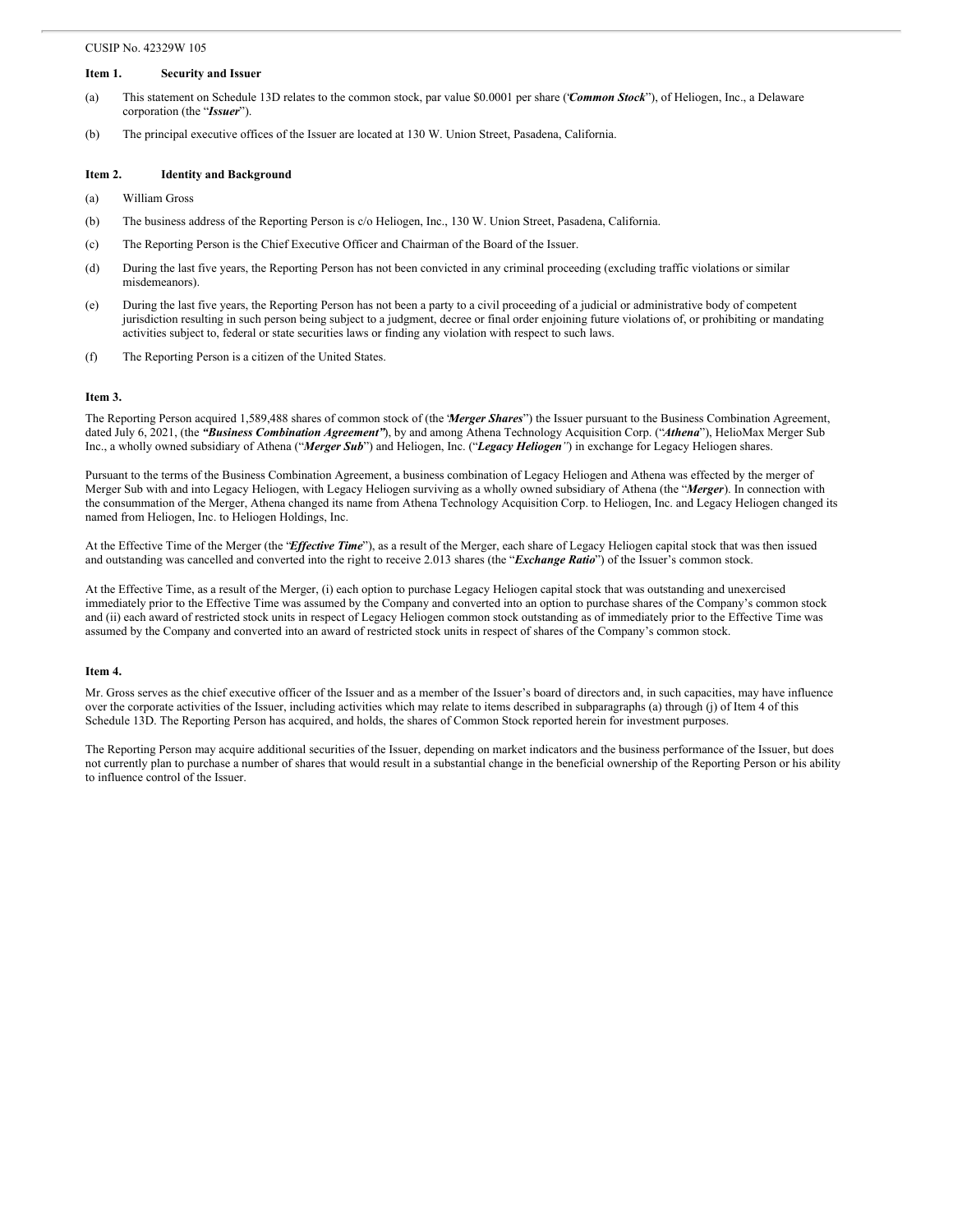#### CUSIP No. 42329W 105

## **Item 1. Security and Issuer**

- (a) This statement on Schedule 13D relates to the common stock, par value \$0.0001 per share ("*Common Stock*"), of Heliogen, Inc., a Delaware corporation (the "*Issuer*").
- (b) The principal executive offices of the Issuer are located at 130 W. Union Street, Pasadena, California.

#### **Item 2. Identity and Background**

- (a) William Gross
- (b) The business address of the Reporting Person is c/o Heliogen, Inc., 130 W. Union Street, Pasadena, California.
- (c) The Reporting Person is the Chief Executive Officer and Chairman of the Board of the Issuer.
- (d) During the last five years, the Reporting Person has not been convicted in any criminal proceeding (excluding traffic violations or similar misdemeanors).
- (e) During the last five years, the Reporting Person has not been a party to a civil proceeding of a judicial or administrative body of competent jurisdiction resulting in such person being subject to a judgment, decree or final order enjoining future violations of, or prohibiting or mandating activities subject to, federal or state securities laws or finding any violation with respect to such laws.
- (f) The Reporting Person is a citizen of the United States.

#### **Item 3.**

The Reporting Person acquired 1,589,488 shares of common stock of (the "*Merger Shares*") the Issuer pursuant to the Business Combination Agreement, dated July 6, 2021, (the *"Business Combination Agreement"*), by and among Athena Technology Acquisition Corp. ("*Athena*"), HelioMax Merger Sub Inc., a wholly owned subsidiary of Athena ("*Merger Sub*") and Heliogen, Inc. ("*Legacy Heliogen"*) in exchange for Legacy Heliogen shares.

Pursuant to the terms of the Business Combination Agreement, a business combination of Legacy Heliogen and Athena was effected by the merger of Merger Sub with and into Legacy Heliogen, with Legacy Heliogen surviving as a wholly owned subsidiary of Athena (the "*Merger*). In connection with the consummation of the Merger, Athena changed its name from Athena Technology Acquisition Corp. to Heliogen, Inc. and Legacy Heliogen changed its named from Heliogen, Inc. to Heliogen Holdings, Inc.

At the Effective Time of the Merger (the "*Effective Time*"), as a result of the Merger, each share of Legacy Heliogen capital stock that was then issued and outstanding was cancelled and converted into the right to receive 2.013 shares (the "*Exchange Ratio*") of the Issuer's common stock.

At the Effective Time, as a result of the Merger, (i) each option to purchase Legacy Heliogen capital stock that was outstanding and unexercised immediately prior to the Effective Time was assumed by the Company and converted into an option to purchase shares of the Company's common stock and (ii) each award of restricted stock units in respect of Legacy Heliogen common stock outstanding as of immediately prior to the Effective Time was assumed by the Company and converted into an award of restricted stock units in respect of shares of the Company's common stock.

#### **Item 4.**

Mr. Gross serves as the chief executive officer of the Issuer and as a member of the Issuer's board of directors and, in such capacities, may have influence over the corporate activities of the Issuer, including activities which may relate to items described in subparagraphs (a) through (j) of Item 4 of this Schedule 13D. The Reporting Person has acquired, and holds, the shares of Common Stock reported herein for investment purposes.

The Reporting Person may acquire additional securities of the Issuer, depending on market indicators and the business performance of the Issuer, but does not currently plan to purchase a number of shares that would result in a substantial change in the beneficial ownership of the Reporting Person or his ability to influence control of the Issuer.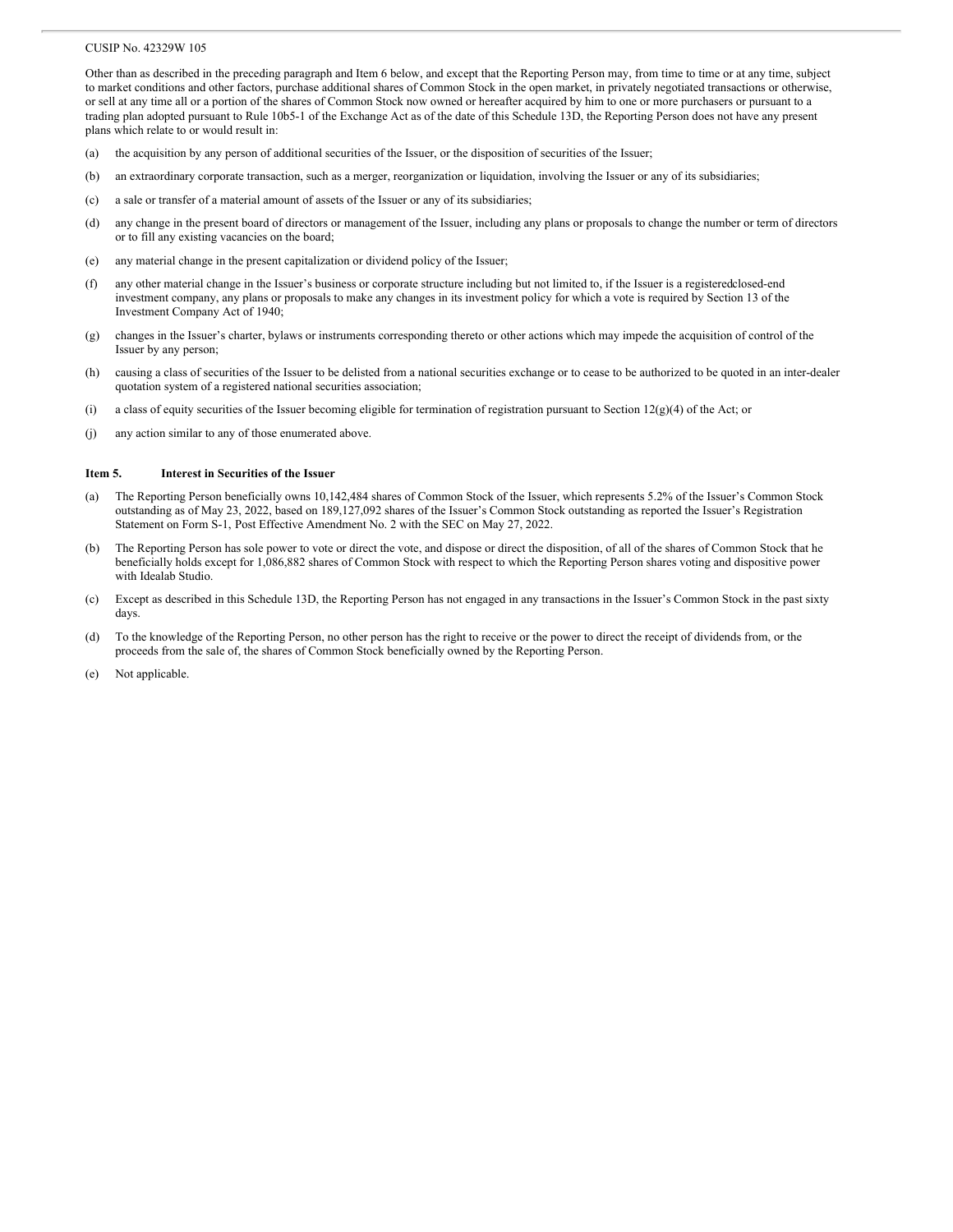#### CUSIP No. 42329W 105

Other than as described in the preceding paragraph and Item 6 below, and except that the Reporting Person may, from time to time or at any time, subject to market conditions and other factors, purchase additional shares of Common Stock in the open market, in privately negotiated transactions or otherwise, or sell at any time all or a portion of the shares of Common Stock now owned or hereafter acquired by him to one or more purchasers or pursuant to a trading plan adopted pursuant to Rule 10b5-1 of the Exchange Act as of the date of this Schedule 13D, the Reporting Person does not have any present plans which relate to or would result in:

- (a) the acquisition by any person of additional securities of the Issuer, or the disposition of securities of the Issuer;
- (b) an extraordinary corporate transaction, such as a merger, reorganization or liquidation, involving the Issuer or any of its subsidiaries;
- (c) a sale or transfer of a material amount of assets of the Issuer or any of its subsidiaries;
- (d) any change in the present board of directors or management of the Issuer, including any plans or proposals to change the number or term of directors or to fill any existing vacancies on the board;
- (e) any material change in the present capitalization or dividend policy of the Issuer;
- (f) any other material change in the Issuer's business or corporate structure including but not limited to, if the Issuer is a registeredclosed-end investment company, any plans or proposals to make any changes in its investment policy for which a vote is required by Section 13 of the Investment Company Act of 1940;
- (g) changes in the Issuer's charter, bylaws or instruments corresponding thereto or other actions which may impede the acquisition of control of the Issuer by any person;
- (h) causing a class of securities of the Issuer to be delisted from a national securities exchange or to cease to be authorized to be quoted in an inter-dealer quotation system of a registered national securities association;
- (i) a class of equity securities of the Issuer becoming eligible for termination of registration pursuant to Section 12(g)(4) of the Act; or
- (j) any action similar to any of those enumerated above.

# **Item 5. Interest in Securities of the Issuer**

- (a) The Reporting Person beneficially owns 10,142,484 shares of Common Stock of the Issuer, which represents 5.2% of the Issuer's Common Stock outstanding as of May 23, 2022, based on 189,127,092 shares of the Issuer's Common Stock outstanding as reported the Issuer's Registration Statement on Form S-1, Post Effective Amendment No. 2 with the SEC on May 27, 2022.
- (b) The Reporting Person has sole power to vote or direct the vote, and dispose or direct the disposition, of all of the shares of Common Stock that he beneficially holds except for 1,086,882 shares of Common Stock with respect to which the Reporting Person shares voting and dispositive power with Idealab Studio.
- (c) Except as described in this Schedule 13D, the Reporting Person has not engaged in any transactions in the Issuer's Common Stock in the past sixty days.
- (d) To the knowledge of the Reporting Person, no other person has the right to receive or the power to direct the receipt of dividends from, or the proceeds from the sale of, the shares of Common Stock beneficially owned by the Reporting Person.
- (e) Not applicable.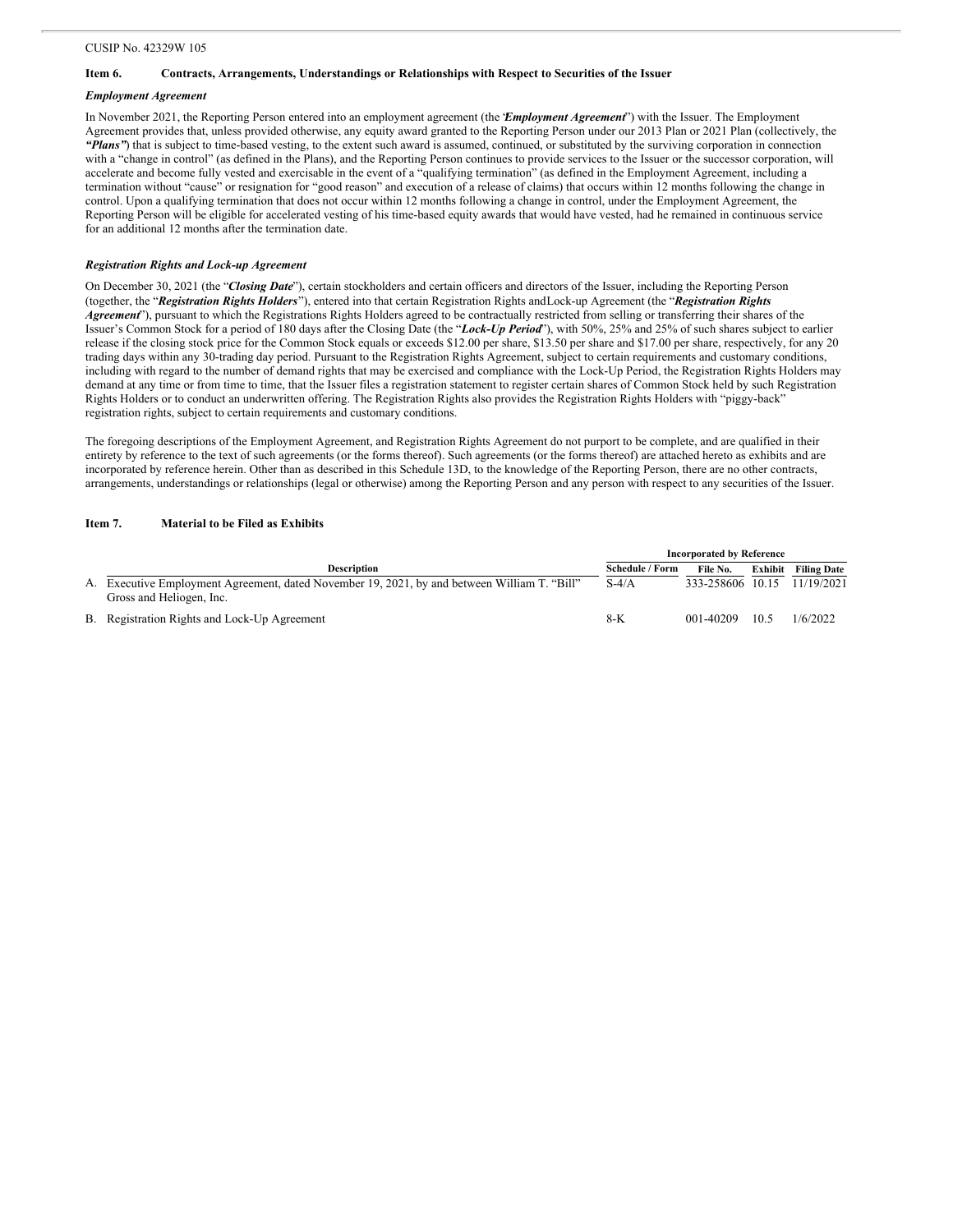# **Item 6. Contracts, Arrangements, Understandings or Relationships with Respect to Securities of the Issuer**

# *Employment Agreement*

In November 2021, the Reporting Person entered into an employment agreement (the "*Employment Agreement*") with the Issuer. The Employment Agreement provides that, unless provided otherwise, any equity award granted to the Reporting Person under our 2013 Plan or 2021 Plan (collectively, the *"Plans"*) that is subject to time-based vesting, to the extent such award is assumed, continued, or substituted by the surviving corporation in connection with a "change in control" (as defined in the Plans), and the Reporting Person continues to provide services to the Issuer or the successor corporation, will accelerate and become fully vested and exercisable in the event of a "qualifying termination" (as defined in the Employment Agreement, including a termination without "cause" or resignation for "good reason" and execution of a release of claims) that occurs within 12 months following the change in control. Upon a qualifying termination that does not occur within 12 months following a change in control, under the Employment Agreement, the Reporting Person will be eligible for accelerated vesting of his time-based equity awards that would have vested, had he remained in continuous service for an additional 12 months after the termination date.

### *Registration Rights and Lock-up Agreement*

On December 30, 2021 (the "*Closing Date*"), certain stockholders and certain officers and directors of the Issuer, including the Reporting Person (together, the "*Registration Rights Holders*"), entered into that certain Registration Rights andLock-up Agreement (the "*Registration Rights Agreement*"), pursuant to which the Registrations Rights Holders agreed to be contractually restricted from selling or transferring their shares of the Issuer's Common Stock for a period of 180 days after the Closing Date (the "*Lock-Up Period*"), with 50%, 25% and 25% of such shares subject to earlier release if the closing stock price for the Common Stock equals or exceeds \$12.00 per share, \$13.50 per share and \$17.00 per share, respectively, for any 20 trading days within any 30-trading day period. Pursuant to the Registration Rights Agreement, subject to certain requirements and customary conditions, including with regard to the number of demand rights that may be exercised and compliance with the Lock-Up Period, the Registration Rights Holders may demand at any time or from time to time, that the Issuer files a registration statement to register certain shares of Common Stock held by such Registration Rights Holders or to conduct an underwritten offering. The Registration Rights also provides the Registration Rights Holders with "piggy-back" registration rights, subject to certain requirements and customary conditions.

The foregoing descriptions of the Employment Agreement, and Registration Rights Agreement do not purport to be complete, and are qualified in their entirety by reference to the text of such agreements (or the forms thereof). Such agreements (or the forms thereof) are attached hereto as exhibits and are incorporated by reference herein. Other than as described in this Schedule 13D, to the knowledge of the Reporting Person, there are no other contracts, arrangements, understandings or relationships (legal or otherwise) among the Reporting Person and any person with respect to any securities of the Issuer.

# **Item 7. Material to be Filed as Exhibits**

|                                                                                                                          | <b>Incorporated by Reference</b> |                  |         |                    |
|--------------------------------------------------------------------------------------------------------------------------|----------------------------------|------------------|---------|--------------------|
| <b>Description</b>                                                                                                       | <b>Schedule / Form</b>           | File No.         | Exhibit | <b>Filing Date</b> |
| A. Executive Employment Agreement, dated November 19, 2021, by and between William T. "Bill"<br>Gross and Heliogen, Inc. | $S-4/A$                          | 333-258606 10.15 |         | 11/19/2021         |
| B. Registration Rights and Lock-Up Agreement                                                                             | 8-K                              | 001-40209        | 10.5    | 1/6/2022           |